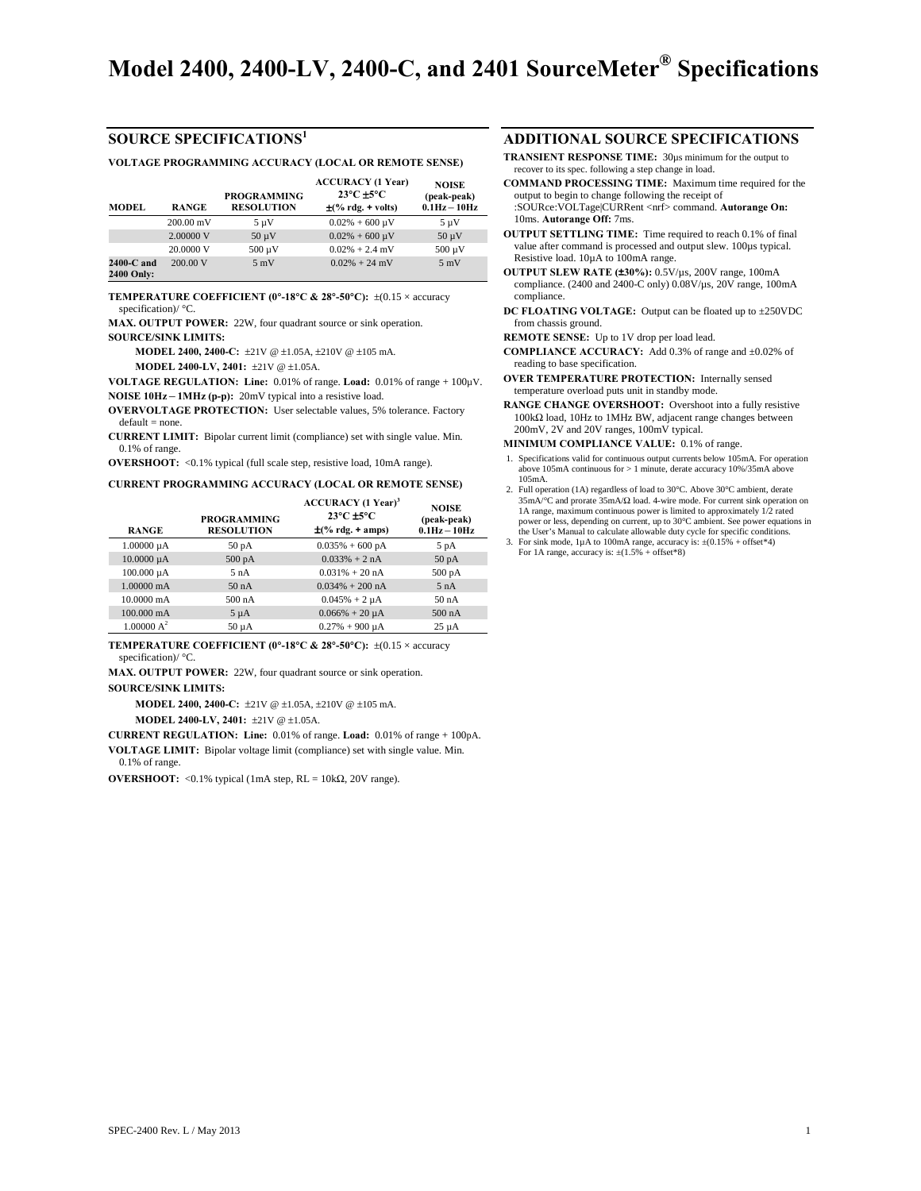## **SOURCE SPECIFICATIONS1**

### **VOLTAGE PROGRAMMING ACCURACY (LOCAL OR REMOTE SENSE)**

| <b>MODEL</b>               | <b>RANGE</b>        | <b>PROGRAMMING</b><br><b>RESOLUTION</b> | <b>ACCURACY</b> (1 Year)<br>$23^{\circ}$ C $\pm 5^{\circ}$ C<br>$\pm$ (% rdg. + volts) | <b>NOISE</b><br>(peak-peak)<br>$0.1\text{Hz} - 10\text{Hz}$ |
|----------------------------|---------------------|-----------------------------------------|----------------------------------------------------------------------------------------|-------------------------------------------------------------|
|                            | $200.00 \text{ mV}$ | $5 \mu V$                               | $0.02\% + 600 \,\mu\text{V}$                                                           | $5 \mu V$                                                   |
|                            | 2.00000 V           | $50 \mu V$                              | $0.02\% + 600 \,\mu\text{V}$                                                           | $50 \mu V$                                                  |
|                            | 20,0000 V           | $500 \mu V$                             | $0.02\% + 2.4$ mV                                                                      | $500 \mu V$                                                 |
| $2400-C$ and<br>2400 Only: | 200,00 V            | $5 \text{ mV}$                          | $0.02\% + 24$ mV                                                                       | $5 \text{ mV}$                                              |

**TEMPERATURE COEFFICIENT (0°-18°C & 28°-50°C):** ±(0.15 × accuracy specification)/ $°C$ 

**MAX. OUTPUT POWER:** 22W, four quadrant source or sink operation. **SOURCE/SINK LIMITS:**

**MODEL 2400, 2400-C:** ±21V @ ±1.05A, ±210V @ ±105 mA.

**MODEL 2400-LV, 2401:** ±21V @ ±1.05A.

**VOLTAGE REGULATION: Line:** 0.01% of range. **Load:** 0.01% of range + 100µV. **NOISE 10Hz – 1MHz (p-p):** 20mV typical into a resistive load.

**OVERVOLTAGE PROTECTION:** User selectable values, 5% tolerance. Factory  $default = none$ 

**CURRENT LIMIT:** Bipolar current limit (compliance) set with single value. Min. 0.1% of range.

**OVERSHOOT:** <0.1% typical (full scale step, resistive load, 10mA range).

#### **CURRENT PROGRAMMING ACCURACY (LOCAL OR REMOTE SENSE)**

| <b>RANGE</b>         | <b>PROGRAMMING</b><br><b>RESOLUTION</b> | <b>ACCURACY</b> (1 Year) <sup>3</sup><br>$23^{\circ}$ C $\pm 5^{\circ}$ C<br>$\pm$ (% rdg. + amps) | <b>NOISE</b><br>(peak-peak)<br>$0.1\text{Hz} - 10\text{Hz}$ |
|----------------------|-----------------------------------------|----------------------------------------------------------------------------------------------------|-------------------------------------------------------------|
| $1.00000 \mu A$      | 50 <sub>pA</sub>                        | $0.035\% + 600 \text{ pA}$                                                                         | 5 pA                                                        |
| $10.0000 \mu A$      | $500 \text{ pA}$                        | $0.033\% + 2 nA$                                                                                   | 50 <sub>pA</sub>                                            |
| $100.000 \mu A$      | 5 nA                                    | $0.031\% + 20 \text{ nA}$                                                                          | $500\text{ pA}$                                             |
| 1.00000 mA           | 50 <sub>nA</sub>                        | $0.034\% + 200 \text{ nA}$                                                                         | 5 nA                                                        |
| $10.0000 \text{ mA}$ | 500 nA                                  | $0.045% + 2 \mu A$                                                                                 | 50 <sub>nA</sub>                                            |
| $100.000 \text{ mA}$ | $5 \mu A$                               | $0.066\% + 20 \mu A$                                                                               | $500$ nA                                                    |
| $1.00000 A^2$        | $50 \mu A$                              | $0.27% + 900 \mu A$                                                                                | $25 \mu A$                                                  |

**TEMPERATURE COEFFICIENT (0°-18°C & 28°-50°C):** ±(0.15 × accuracy specification)/ °C.

**MAX. OUTPUT POWER:** 22W, four quadrant source or sink operation. **SOURCE/SINK LIMITS:**

**MODEL 2400, 2400-C:** ±21V @ ±1.05A, ±210V @ ±105 mA.

**MODEL 2400-LV, 2401:** ±21V @ ±1.05A.

**CURRENT REGULATION: Line:** 0.01% of range. **Load:** 0.01% of range + 100pA. **VOLTAGE LIMIT:** Bipolar voltage limit (compliance) set with single value. Min. 0.1% of range.

**OVERSHOOT:** <0.1% typical (1mA step,  $RL = 10k\Omega$ , 20V range).

# **ADDITIONAL SOURCE SPECIFICATIONS**

- **TRANSIENT RESPONSE TIME:** 30µs minimum for the output to recover to its spec. following a step change in load.
- **COMMAND PROCESSING TIME:** Maximum time required for the output to begin to change following the receipt of :SOURce:VOLTage|CURRent <nrf> command. **Autorange On:** 10ms. **Autorange Off:** 7ms.
- **OUTPUT SETTLING TIME:** Time required to reach 0.1% of final value after command is processed and output slew. 100µs typical. Resistive load. 10µA to 100mA range.

**OUTPUT SLEW RATE (±30%):** 0.5V/µs, 200V range, 100mA compliance. (2400 and 2400-C only) 0.08V/µs, 20V range, 100mA compliance.

**DC FLOATING VOLTAGE:** Output can be floated up to ±250VDC from chassis ground.

**REMOTE SENSE:** Up to 1V drop per load lead.

- **COMPLIANCE ACCURACY:** Add 0.3% of range and ±0.02% of reading to base specification.
- **OVER TEMPERATURE PROTECTION:** Internally sensed temperature overload puts unit in standby mode.
- **RANGE CHANGE OVERSHOOT:** Overshoot into a fully resistive 100kΩ load, 10Hz to 1MHz BW, adjacent range changes between 200mV, 2V and 20V ranges, 100mV typical.
- **MINIMUM COMPLIANCE VALUE:** 0.1% of range.
- 1. Specifications valid for continuous output currents below 105mA. For operation above 105mA continuous for  $> 1$  minute, derate accuracy 10%/35mA above 105mA.
- 2. Full operation (1A) regardless of load to 30°C. Above 30°C ambient, derate 35mA/°C and prorate 35mA/Ω load. 4-wire mode. For current sink operation on 1A range, maximum continuous power is limited to approximately 1/2 rated power or less, depending on current, up to 30°C ambient. See power equations in the User's Manual to calculate allowable duty cycle for specific conditions.
- 3. For sink mode, 1µA to 100mA range, accuracy is:  $\pm (0.15\% + \text{offset*4})$ <br>For 1A range, accuracy is:  $\pm (1.5\% + \text{offset*8})$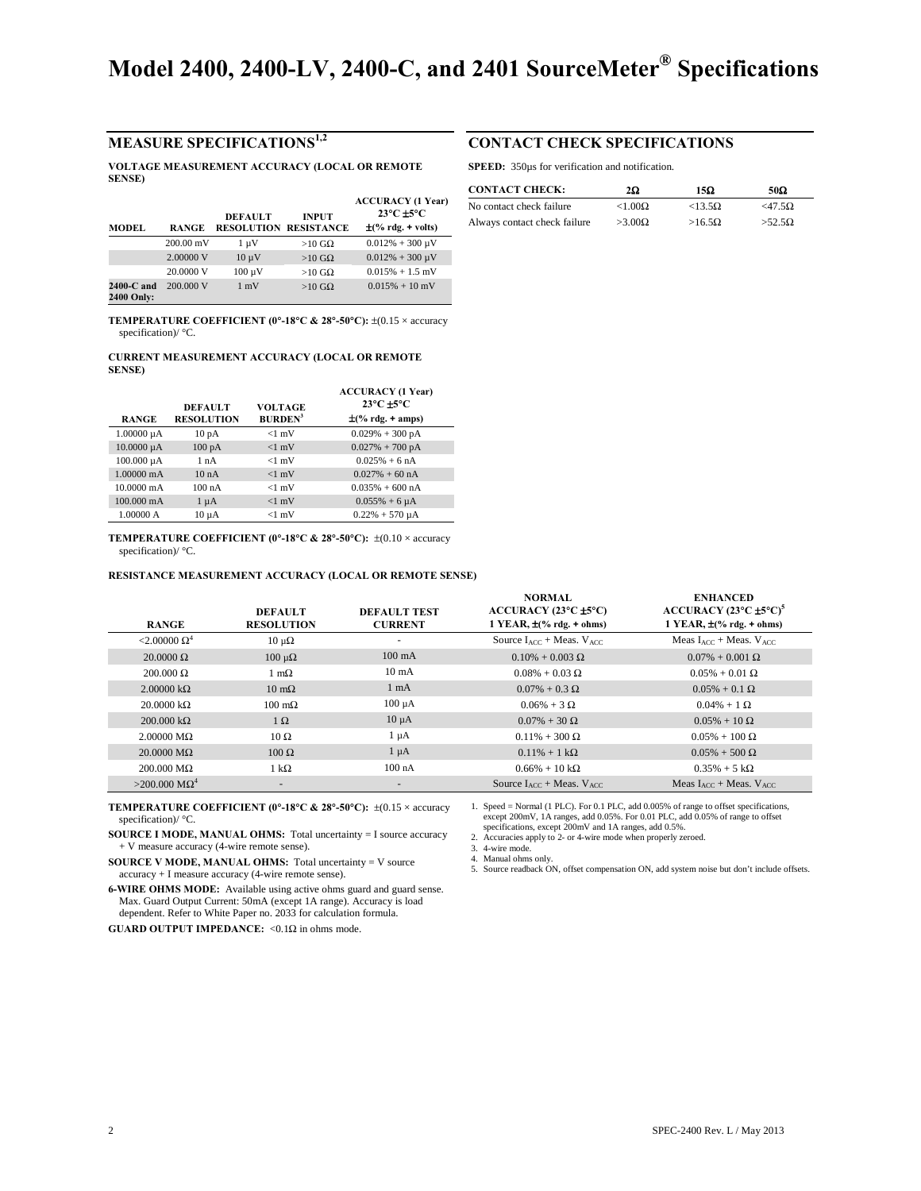# **MEASURE SPECIFICATIONS<sup>1,2</sup>**

**VOLTAGE MEASUREMENT ACCURACY (LOCAL OR REMOTE SENSE)**

| <b>MODEL</b>               | <b>RANGE</b>        | <b>DEFAULT</b><br><b>RESOLUTION RESISTANCE</b> | <b>INPUT</b> | <b>ACCURACY</b> (1 Year)<br>$23^{\circ}$ C $\pm 5^{\circ}$ C<br>$\pm$ (% rdg. + volts) |
|----------------------------|---------------------|------------------------------------------------|--------------|----------------------------------------------------------------------------------------|
|                            | $200.00 \text{ mV}$ | 1 uV                                           | $>10$ GQ     | $0.012\% + 300 \,\mu\text{V}$                                                          |
|                            | 2,00000 V           | $10 \mu V$                                     | $>10$ GΩ     | $0.012\% + 300 \,\mu\text{V}$                                                          |
|                            | 20,0000 V           | $100 \mu V$                                    | $>10$ GQ     | $0.015% + 1.5$ mV                                                                      |
| $2400-C$ and<br>2400 Only: | 200.000 V           | $1 \text{ mV}$                                 | $>10$ GΩ     | $0.015% + 10$ mV                                                                       |

**TEMPERATURE COEFFICIENT (0°-18°C & 28°-50°C):** ±(0.15 × accuracy specification)/ $°C$ .

### **CURRENT MEASUREMENT ACCURACY (LOCAL OR REMOTE SENSE)**

| <b>RANGE</b>         | <b>DEFAULT</b><br><b>RESOLUTION</b> | <b>VOLTAGE</b><br><b>BURDEN</b> <sup>3</sup> | <b>ACCURACY</b> (1 Year)<br>$23^{\circ}$ C $\pm 5^{\circ}$ C<br>$\pm$ (% rdg. + amps) |
|----------------------|-------------------------------------|----------------------------------------------|---------------------------------------------------------------------------------------|
| $1.00000 \mu A$      | 10 <sub>pA</sub>                    | $<1$ mV                                      | $0.029% + 300pA$                                                                      |
| $10.0000 \mu A$      | $100\text{ pA}$                     | $<1$ mV                                      | $0.027% + 700$ pA                                                                     |
| 100.000 µA           | 1 nA                                | $<1$ mV                                      | $0.025% + 6 nA$                                                                       |
| 1.00000 mA           | 10 <sub>n</sub> A                   | $<1$ mV                                      | $0.027\% + 60 \text{ nA}$                                                             |
| $10.0000 \text{ mA}$ | $100 \text{ nA}$                    | $<1$ mV                                      | $0.035\% + 600 \text{ nA}$                                                            |
| $100.000 \text{ mA}$ | $1 \mu A$                           | $<1$ mV                                      | $0.055\% + 6 \mu A$                                                                   |
| 1.00000 A            | $10 \mu A$                          | $<1$ mV                                      | $0.22\% + 570 \mu A$                                                                  |

**TEMPERATURE COEFFICIENT (0°-18°C & 28°-50°C):** ±(0.10 × accuracy specification)/ °C.

### **RESISTANCE MEASUREMENT ACCURACY (LOCAL OR REMOTE SENSE)**

| <b>RANGE</b>                 | <b>DEFAULT</b><br><b>RESOLUTION</b> | <b>DEFAULT TEST</b><br><b>CURRENT</b> | <b>NORMAL</b><br>$ACCURACY (23°C \pm 5°C)$<br>$1$ YEAR, $\pm$ (% rdg. + ohms) | <b>ENHANCED</b><br>ACCURACY $(23^{\circ}C \pm 5^{\circ}C)^5$<br>$1$ YEAR, $\pm$ (% rdg. + ohms) |
|------------------------------|-------------------------------------|---------------------------------------|-------------------------------------------------------------------------------|-------------------------------------------------------------------------------------------------|
| $\langle 2.00000 \ \Omega^4$ | $10 \mu\Omega$                      | ۰                                     | Source $I_{\text{acc}}$ + Meas. $V_{\text{acc}}$                              | Meas $I_{\text{ACT}}$ + Meas. $V_{\text{ACT}}$                                                  |
| $20.0000 \Omega$             | $100 \mu\Omega$                     | $100 \text{ mA}$                      | $0.10\% + 0.003 \Omega$                                                       | $0.07\% + 0.001 \Omega$                                                                         |
| $200.000 \Omega$             | $1 \text{ m}\Omega$                 | $10 \text{ mA}$                       | $0.08\% + 0.03 \Omega$                                                        | $0.05\% + 0.01 \Omega$                                                                          |
| $2.00000 k\Omega$            | $10 \text{ m}\Omega$                | $1 \text{ mA}$                        | $0.07\% + 0.3 \Omega$                                                         | $0.05\% + 0.1 \Omega$                                                                           |
| $20.0000 k\Omega$            | $100 \text{ m}\Omega$               | $100 \mu A$                           | $0.06\% + 3 \Omega$                                                           | $0.04\% + 1 \Omega$                                                                             |
| $200.000 k\Omega$            | $1 \Omega$                          | $10 \mu A$                            | $0.07\% + 30 \Omega$                                                          | $0.05\% + 10 \Omega$                                                                            |
| $2.00000 \text{ M}\Omega$    | $10 \Omega$                         | $1 \mu A$                             | $0.11\% + 300 \Omega$                                                         | $0.05\% + 100 \Omega$                                                                           |
| $20.0000 \text{ M}\Omega$    | $100 \Omega$                        | $1 \mu A$                             | $0.11\% + 1 \text{ k}\Omega$                                                  | $0.05\% + 500 \Omega$                                                                           |
| $200.000 \text{ M}\Omega$    | $1 \text{ k}\Omega$                 | $100 \text{ nA}$                      | $0.66\% + 10 \text{ k}\Omega$                                                 | $0.35\% + 5 k\Omega$                                                                            |
| $>$ 200.000 MΩ <sup>4</sup>  | $\overline{\phantom{a}}$            | $\qquad \qquad \blacksquare$          | Source $I_{ACC}$ + Meas. $V_{ACC}$                                            | Meas $I_{ACC}$ + Meas. $V_{ACC}$                                                                |

**TEMPERATURE COEFFICIENT (0°-18°C & 28°-50°C):** ±(0.15 × accuracy specification)/ °C.

**SOURCE I MODE, MANUAL OHMS:** Total uncertainty = I source accuracy + V measure accuracy (4-wire remote sense).

**SOURCE V MODE, MANUAL OHMS:** Total uncertainty = V source accuracy + I measure accuracy (4-wire remote sense).

**6-WIRE OHMS MODE:** Available using active ohms guard and guard sense. Max. Guard Output Current: 50mA (except 1A range). Accuracy is load dependent. Refer to White Paper no. 2033 for calculation formula.

**GUARD OUTPUT IMPEDANCE:** < $0.1\Omega$  in ohms mode.

# **CONTACT CHECK SPECIFICATIONS**

**SPEED:** 350µs for verification and notification.

| <b>CONTACT CHECK:</b>        | 2Ω             | 15Ω               | 50 $\Omega$       |
|------------------------------|----------------|-------------------|-------------------|
| No contact check failure     | $< 1.00\Omega$ | $<$ 13.5 $\Omega$ | $<$ 47.5 $\Omega$ |
| Always contact check failure | $>3.00\Omega$  | $>16.5\Omega$     | $>52.5\Omega$     |

1. Speed = Normal (1 PLC). For 0.1 PLC, add 0.005% of range to offset specifications, except 200mV, 1A ranges, add 0.05%. For 0.01 PLC, add 0.05% of range to offset specifications, except 200mV and 1A ranges, add 0.5%.

2. Accuracies apply to 2- or 4-wire mode when properly zeroed.

3. 4-wire mode.

4. Manual ohms only.

5. Source readback ON, offset compensation ON, add system noise but don't include offsets.